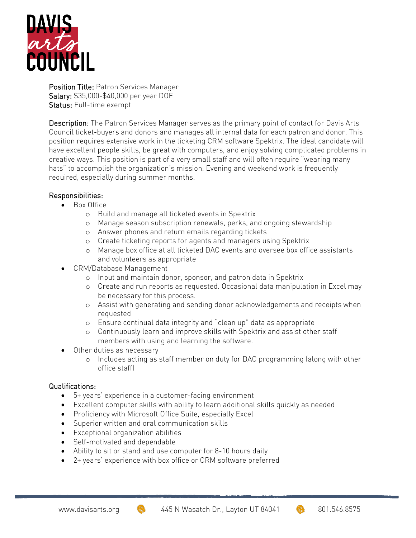

Position Title: Patron Services Manager<br>Salary: \$35,000-\$40,000 per year DOE Status: Full-time exempt Status: Full-time exempt

**Description:** The Patron Services Manager serves as the primary point of contact for Davis Arts Council ticket-buyers and donors and manages all internal data for each patron and donor. This position requires extensive work in the ticketing CRM software Spektrix. The ideal candidate will have excellent people skills, be great with computers, and enjoy solving complicated problems in creative ways. This position is part of a very small staff and will often require "wearing many hats" to accomplish the organization's mission. Evening and weekend work is frequently hats" to accomplish the organization's mission. Evening and weekend work is frequently. required, especially during summer months.

- Box Office
	- <sup>o</sup> Build and manage all ticketed events in Spektrix
	- <sup>o</sup> Manage season subscription renewals, perks, and ongoing stewardship
	- <sup>o</sup> Answer phones and return emails regarding tickets
	- <sup>o</sup> Create ticketing reports for agents and managers using Spektrix
	- <sup>o</sup> Manage box office at all ticketed DAC events and oversee box office assistants
	- CRM/Database Management
		- <sup>o</sup> Input and maintain donor, sponsor, and patron data in Spektrix
		- <sup>o</sup> Create and run reports as requested. Occasional data manipulation in Excel may
		- o Assist with generating and sending donor acknowledgements and receipts when<br>requested
		- o Ensure continual data integrity and "clean up" data as appropriate<br>o Continuously learn and improve skills with Spektrix and assist other
		- <sup>o</sup> Continuously learn and improve skills with Spektrix and assist other staff
	-
	- Other duties as necessary<br>• Other duties as necessary<br>• Other duties action as staff member on duty for DA <sup>o</sup> Includes acting as staff member on duty for DAC programming (along with other office staff)

## Qualifications:

- 5+ years' experience in a customer-facing environment<br>• Excellent computer skills with ability to learn additional
	- Excellent computer skills with ability to learn additional skills quickly as needed
	- Proficiency with Microsoft Office Suite, especially Excel
	- Superior written and oral communication skills
	- Exceptional organization abilities
	- Self-motivated and dependable
	- Ability to sit or stand and use computer for 8-10 hours daily
	- 2+ years' experience with box office or CRM software preferred